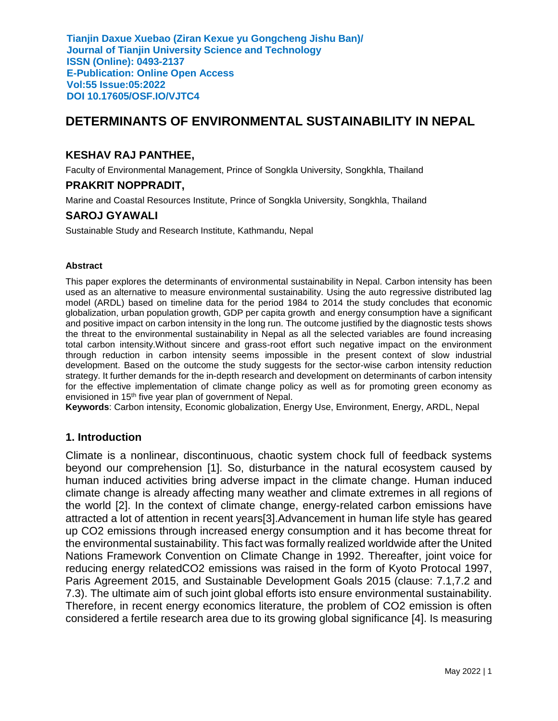# **DETERMINANTS OF ENVIRONMENTAL SUSTAINABILITY IN NEPAL**

#### **KESHAV RAJ PANTHEE,**

Faculty of Environmental Management, Prince of Songkla University, Songkhla, Thailand

#### **PRAKRIT NOPPRADIT,**

Marine and Coastal Resources Institute, Prince of Songkla University, Songkhla, Thailand

### **SAROJ GYAWALI**

Sustainable Study and Research Institute, Kathmandu, Nepal

#### **Abstract**

This paper explores the determinants of environmental sustainability in Nepal. Carbon intensity has been used as an alternative to measure environmental sustainability. Using the auto regressive distributed lag model (ARDL) based on timeline data for the period 1984 to 2014 the study concludes that economic globalization, urban population growth, GDP per capita growth and energy consumption have a significant and positive impact on carbon intensity in the long run. The outcome justified by the diagnostic tests shows the threat to the environmental sustainability in Nepal as all the selected variables are found increasing total carbon intensity.Without sincere and grass-root effort such negative impact on the environment through reduction in carbon intensity seems impossible in the present context of slow industrial development. Based on the outcome the study suggests for the sector-wise carbon intensity reduction strategy. It further demands for the in-depth research and development on determinants of carbon intensity for the effective implementation of climate change policy as well as for promoting green economy as envisioned in 15<sup>th</sup> five year plan of government of Nepal.

**Keywords**: Carbon intensity, Economic globalization, Energy Use, Environment, Energy, ARDL, Nepal

#### **1. Introduction**

Climate is a nonlinear, discontinuous, chaotic system chock full of feedback systems beyond our comprehension [1]. So, disturbance in the natural ecosystem caused by human induced activities bring adverse impact in the climate change. Human induced climate change is already affecting many weather and climate extremes in all regions of the world [2]. In the context of climate change, energy-related carbon emissions have attracted a lot of attention in recent years[3].Advancement in human life style has geared up CO2 emissions through increased energy consumption and it has become threat for the environmental sustainability. This fact was formally realized worldwide after the United Nations Framework Convention on Climate Change in 1992. Thereafter, joint voice for reducing energy relatedCO2 emissions was raised in the form of Kyoto Protocal 1997, Paris Agreement 2015, and Sustainable Development Goals 2015 (clause: 7.1,7.2 and 7.3). The ultimate aim of such joint global efforts isto ensure environmental sustainability. Therefore, in recent energy economics literature, the problem of CO2 emission is often considered a fertile research area due to its growing global significance [4]. Is measuring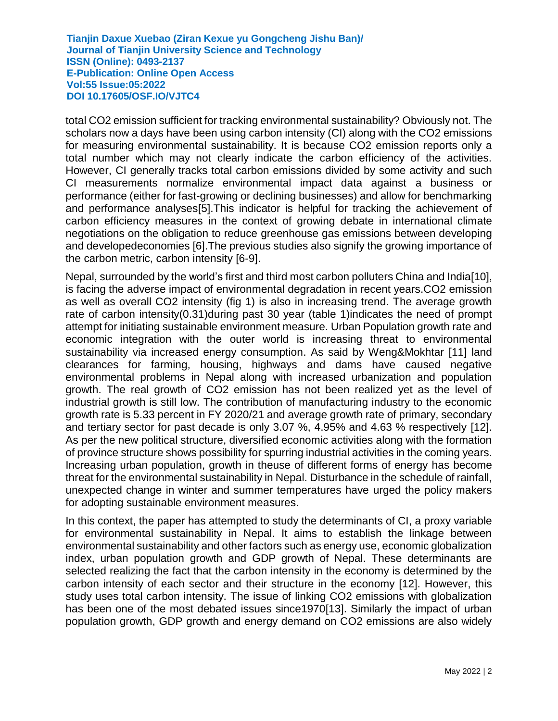total CO2 emission sufficient for tracking environmental sustainability? Obviously not. The scholars now a days have been using carbon intensity (CI) along with the CO2 emissions for measuring environmental sustainability. It is because CO2 emission reports only a total number which may not clearly indicate the carbon efficiency of the activities. However, CI generally tracks total carbon emissions divided by some activity and such CI measurements normalize environmental impact data against a business or performance (either for fast-growing or declining businesses) and allow for benchmarking and performance analyses[5].This indicator is helpful for tracking the achievement of carbon efficiency measures in the context of growing debate in international climate negotiations on the obligation to reduce greenhouse gas emissions between developing and developedeconomies [6].The previous studies also signify the growing importance of the carbon metric, carbon intensity [6-9].

Nepal, surrounded by the world's first and third most carbon polluters China and India[10], is facing the adverse impact of environmental degradation in recent years.CO2 emission as well as overall CO2 intensity (fig 1) is also in increasing trend. The average growth rate of carbon intensity(0.31)during past 30 year (table 1)indicates the need of prompt attempt for initiating sustainable environment measure. Urban Population growth rate and economic integration with the outer world is increasing threat to environmental sustainability via increased energy consumption. As said by Weng&Mokhtar [11] land clearances for farming, housing, highways and dams have caused negative environmental problems in Nepal along with increased urbanization and population growth. The real growth of CO2 emission has not been realized yet as the level of industrial growth is still low. The contribution of manufacturing industry to the economic growth rate is 5.33 percent in FY 2020/21 and average growth rate of primary, secondary and tertiary sector for past decade is only 3.07 %, 4.95% and 4.63 % respectively [12]. As per the new political structure, diversified economic activities along with the formation of province structure shows possibility for spurring industrial activities in the coming years. Increasing urban population, growth in theuse of different forms of energy has become threat for the environmental sustainability in Nepal. Disturbance in the schedule of rainfall, unexpected change in winter and summer temperatures have urged the policy makers for adopting sustainable environment measures.

In this context, the paper has attempted to study the determinants of CI, a proxy variable for environmental sustainability in Nepal. It aims to establish the linkage between environmental sustainability and other factors such as energy use, economic globalization index, urban population growth and GDP growth of Nepal. These determinants are selected realizing the fact that the carbon intensity in the economy is determined by the carbon intensity of each sector and their structure in the economy [12]. However, this study uses total carbon intensity. The issue of linking CO2 emissions with globalization has been one of the most debated issues since1970[13]. Similarly the impact of urban population growth, GDP growth and energy demand on CO2 emissions are also widely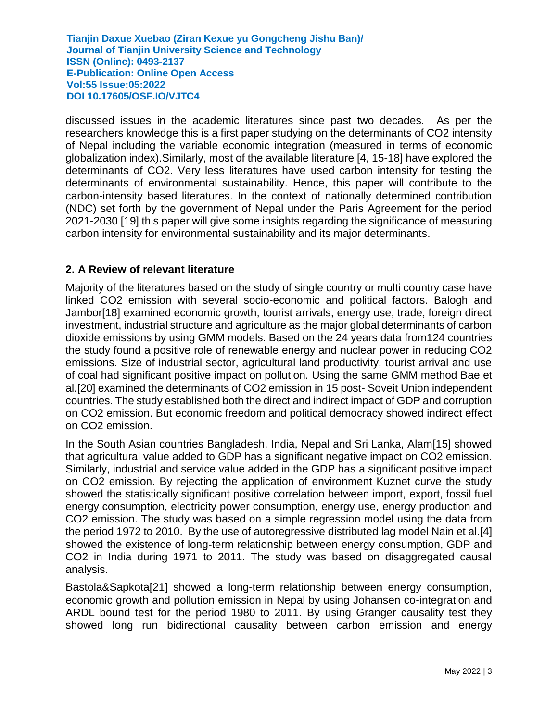discussed issues in the academic literatures since past two decades. As per the researchers knowledge this is a first paper studying on the determinants of CO2 intensity of Nepal including the variable economic integration (measured in terms of economic globalization index).Similarly, most of the available literature [4, 15-18] have explored the determinants of CO2. Very less literatures have used carbon intensity for testing the determinants of environmental sustainability. Hence, this paper will contribute to the carbon-intensity based literatures. In the context of nationally determined contribution (NDC) set forth by the government of Nepal under the Paris Agreement for the period 2021-2030 [19] this paper will give some insights regarding the significance of measuring carbon intensity for environmental sustainability and its major determinants.

#### **2. A Review of relevant literature**

Majority of the literatures based on the study of single country or multi country case have linked CO2 emission with several socio-economic and political factors. Balogh and Jambor[18] examined economic growth, tourist arrivals, energy use, trade, foreign direct investment, industrial structure and agriculture as the major global determinants of carbon dioxide emissions by using GMM models. Based on the 24 years data from124 countries the study found a positive role of renewable energy and nuclear power in reducing CO2 emissions. Size of industrial sector, agricultural land productivity, tourist arrival and use of coal had significant positive impact on pollution. Using the same GMM method Bae et al.[20] examined the determinants of CO2 emission in 15 post- Soveit Union independent countries. The study established both the direct and indirect impact of GDP and corruption on CO2 emission. But economic freedom and political democracy showed indirect effect on CO2 emission.

In the South Asian countries Bangladesh, India, Nepal and Sri Lanka, Alam[15] showed that agricultural value added to GDP has a significant negative impact on CO2 emission. Similarly, industrial and service value added in the GDP has a significant positive impact on CO2 emission. By rejecting the application of environment Kuznet curve the study showed the statistically significant positive correlation between import, export, fossil fuel energy consumption, electricity power consumption, energy use, energy production and CO2 emission. The study was based on a simple regression model using the data from the period 1972 to 2010. By the use of autoregressive distributed lag model Nain et al.[4] showed the existence of long-term relationship between energy consumption, GDP and CO2 in India during 1971 to 2011. The study was based on disaggregated causal analysis.

Bastola&Sapkota[21] showed a long-term relationship between energy consumption, economic growth and pollution emission in Nepal by using Johansen co-integration and ARDL bound test for the period 1980 to 2011. By using Granger causality test they showed long run bidirectional causality between carbon emission and energy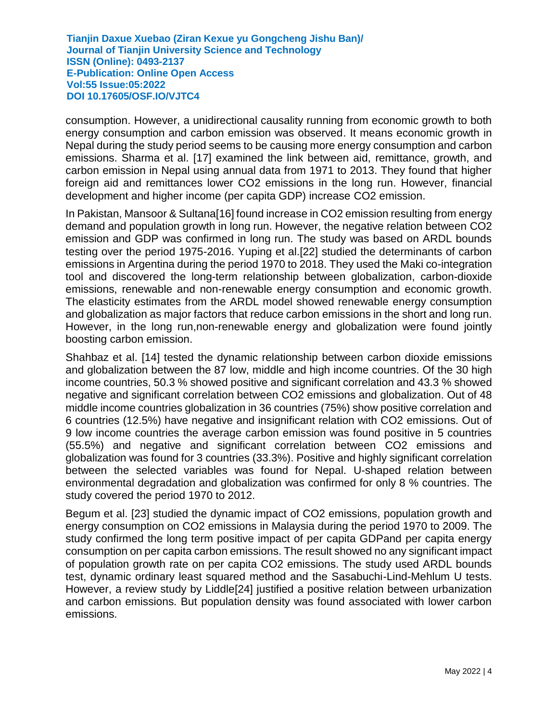consumption. However, a unidirectional causality running from economic growth to both energy consumption and carbon emission was observed. It means economic growth in Nepal during the study period seems to be causing more energy consumption and carbon emissions. Sharma et al. [17] examined the link between aid, remittance, growth, and carbon emission in Nepal using annual data from 1971 to 2013. They found that higher foreign aid and remittances lower CO2 emissions in the long run. However, financial development and higher income (per capita GDP) increase CO2 emission.

In Pakistan, Mansoor & Sultana[16] found increase in CO2 emission resulting from energy demand and population growth in long run. However, the negative relation between CO2 emission and GDP was confirmed in long run. The study was based on ARDL bounds testing over the period 1975-2016. Yuping et al.[22] studied the determinants of carbon emissions in Argentina during the period 1970 to 2018. They used the Maki co-integration tool and discovered the long-term relationship between globalization, carbon-dioxide emissions, renewable and non-renewable energy consumption and economic growth. The elasticity estimates from the ARDL model showed renewable energy consumption and globalization as major factors that reduce carbon emissions in the short and long run. However, in the long run,non-renewable energy and globalization were found jointly boosting carbon emission.

Shahbaz et al. [14] tested the dynamic relationship between carbon dioxide emissions and globalization between the 87 low, middle and high income countries. Of the 30 high income countries, 50.3 % showed positive and significant correlation and 43.3 % showed negative and significant correlation between CO2 emissions and globalization. Out of 48 middle income countries globalization in 36 countries (75%) show positive correlation and 6 countries (12.5%) have negative and insignificant relation with CO2 emissions. Out of 9 low income countries the average carbon emission was found positive in 5 countries (55.5%) and negative and significant correlation between CO2 emissions and globalization was found for 3 countries (33.3%). Positive and highly significant correlation between the selected variables was found for Nepal. U-shaped relation between environmental degradation and globalization was confirmed for only 8 % countries. The study covered the period 1970 to 2012.

Begum et al. [23] studied the dynamic impact of CO2 emissions, population growth and energy consumption on CO2 emissions in Malaysia during the period 1970 to 2009. The study confirmed the long term positive impact of per capita GDPand per capita energy consumption on per capita carbon emissions. The result showed no any significant impact of population growth rate on per capita CO2 emissions. The study used ARDL bounds test, dynamic ordinary least squared method and the Sasabuchi-Lind-Mehlum U tests. However, a review study by Liddle[24] justified a positive relation between urbanization and carbon emissions. But population density was found associated with lower carbon emissions.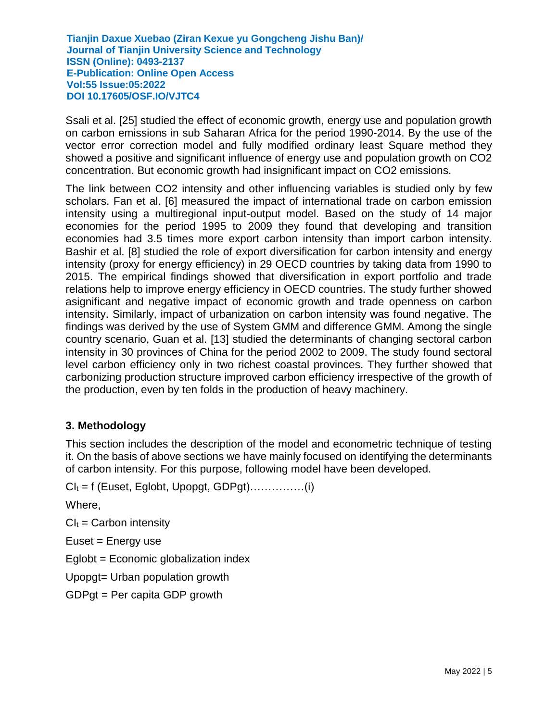Ssali et al. [25] studied the effect of economic growth, energy use and population growth on carbon emissions in sub Saharan Africa for the period 1990-2014. By the use of the vector error correction model and fully modified ordinary least Square method they showed a positive and significant influence of energy use and population growth on CO2 concentration. But economic growth had insignificant impact on CO2 emissions.

The link between CO2 intensity and other influencing variables is studied only by few scholars. Fan et al. [6] measured the impact of international trade on carbon emission intensity using a multiregional input-output model. Based on the study of 14 major economies for the period 1995 to 2009 they found that developing and transition economies had 3.5 times more export carbon intensity than import carbon intensity. Bashir et al. [8] studied the role of export diversification for carbon intensity and energy intensity (proxy for energy efficiency) in 29 OECD countries by taking data from 1990 to 2015. The empirical findings showed that diversification in export portfolio and trade relations help to improve energy efficiency in OECD countries. The study further showed asignificant and negative impact of economic growth and trade openness on carbon intensity. Similarly, impact of urbanization on carbon intensity was found negative. The findings was derived by the use of System GMM and difference GMM. Among the single country scenario, Guan et al. [13] studied the determinants of changing sectoral carbon intensity in 30 provinces of China for the period 2002 to 2009. The study found sectoral level carbon efficiency only in two richest coastal provinces. They further showed that carbonizing production structure improved carbon efficiency irrespective of the growth of the production, even by ten folds in the production of heavy machinery.

#### **3. Methodology**

This section includes the description of the model and econometric technique of testing it. On the basis of above sections we have mainly focused on identifying the determinants of carbon intensity. For this purpose, following model have been developed.

CI<sup>t</sup> = f (Euset, Eglobt, Upopgt, GDPgt)……………(i)

Where,

 $Cl<sub>t</sub> = Carbon$  intensity

 $E$ uset = Energy use

Eglobt = Economic globalization index

Upopgt= Urban population growth

GDPgt = Per capita GDP growth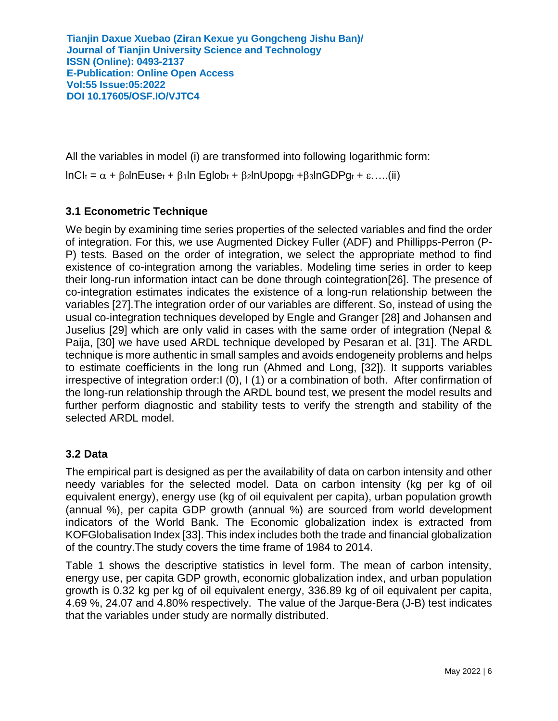All the variables in model (i) are transformed into following logarithmic form:

 $InCl<sub>t</sub> = \alpha + \beta_0 InEuse<sub>t</sub> + \beta_1 In Eglob<sub>t</sub> + \beta_2 InUpopg<sub>t</sub> + \beta_3 InGDPg<sub>t</sub> + \varepsilon.$ ...(ii)

# **3.1 Econometric Technique**

We begin by examining time series properties of the selected variables and find the order of integration. For this, we use Augmented Dickey Fuller (ADF) and Phillipps-Perron (P-P) tests. Based on the order of integration, we select the appropriate method to find existence of co-integration among the variables. Modeling time series in order to keep their long-run information intact can be done through cointegration[26]. The presence of co-integration estimates indicates the existence of a long-run relationship between the variables [27].The integration order of our variables are different. So, instead of using the usual co-integration techniques developed by Engle and Granger [28] and Johansen and Juselius [29] which are only valid in cases with the same order of integration (Nepal & Paija, [30] we have used ARDL technique developed by Pesaran et al. [31]. The ARDL technique is more authentic in small samples and avoids endogeneity problems and helps to estimate coefficients in the long run (Ahmed and Long, [32]). It supports variables irrespective of integration order:I (0), I (1) or a combination of both. After confirmation of the long-run relationship through the ARDL bound test, we present the model results and further perform diagnostic and stability tests to verify the strength and stability of the selected ARDL model.

# **3.2 Data**

The empirical part is designed as per the availability of data on carbon intensity and other needy variables for the selected model. Data on carbon intensity (kg per kg of oil equivalent energy), energy use (kg of oil equivalent per capita), urban population growth (annual %), per capita GDP growth (annual %) are sourced from world development indicators of the World Bank. The Economic globalization index is extracted from KOFGlobalisation Index [33]. This index includes both the trade and financial globalization of the country.The study covers the time frame of 1984 to 2014.

Table 1 shows the descriptive statistics in level form. The mean of carbon intensity, energy use, per capita GDP growth, economic globalization index, and urban population growth is 0.32 kg per kg of oil equivalent energy, 336.89 kg of oil equivalent per capita, 4.69 %, 24.07 and 4.80% respectively. The value of the Jarque-Bera (J-B) test indicates that the variables under study are normally distributed.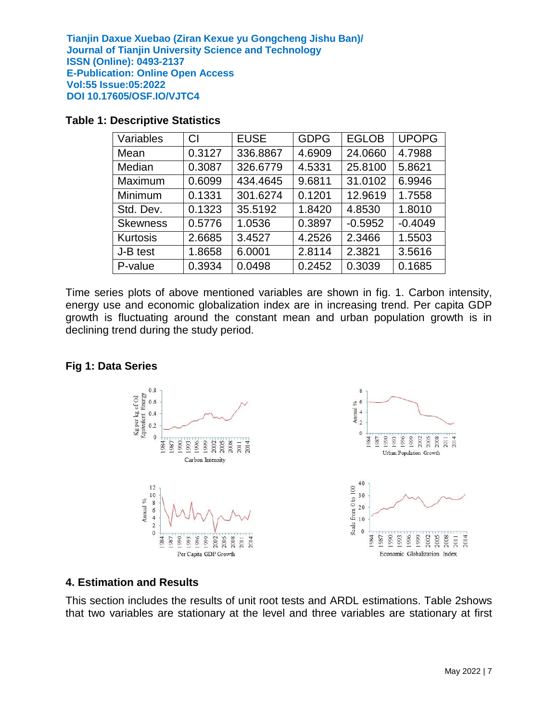| Variables       | CI     | <b>EUSE</b> | <b>GDPG</b> | <b>EGLOB</b> | <b>UPOPG</b> |
|-----------------|--------|-------------|-------------|--------------|--------------|
| Mean            | 0.3127 | 336.8867    | 4.6909      | 24.0660      | 4.7988       |
| Median          | 0.3087 | 326.6779    | 4.5331      | 25.8100      | 5.8621       |
| Maximum         | 0.6099 | 434.4645    | 9.6811      | 31.0102      | 6.9946       |
| Minimum         | 0.1331 | 301.6274    | 0.1201      | 12.9619      | 1.7558       |
| Std. Dev.       | 0.1323 | 35.5192     | 1.8420      | 4.8530       | 1.8010       |
| <b>Skewness</b> | 0.5776 | 1.0536      | 0.3897      | $-0.5952$    | $-0.4049$    |
| Kurtosis        | 2.6685 | 3.4527      | 4.2526      | 2.3466       | 1.5503       |
| J-B test        | 1.8658 | 6.0001      | 2.8114      | 2.3821       | 3.5616       |
| P-value         | 0.3934 | 0.0498      | 0.2452      | 0.3039       | 0.1685       |

#### **Table 1: Descriptive Statistics**

Time series plots of above mentioned variables are shown in fig. 1. Carbon intensity, energy use and economic globalization index are in increasing trend. Per capita GDP growth is fluctuating around the constant mean and urban population growth is in declining trend during the study period.

#### **Fig 1: Data Series**



#### **4. Estimation and Results**

This section includes the results of unit root tests and ARDL estimations. Table 2shows that two variables are stationary at the level and three variables are stationary at first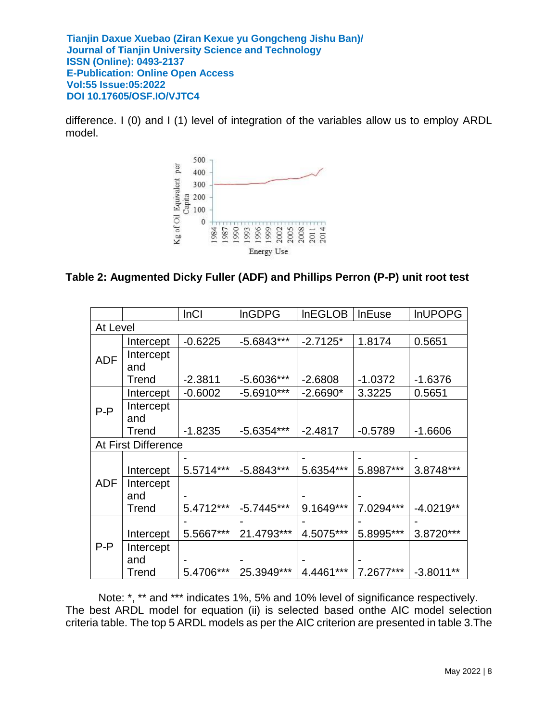difference. I (0) and I (1) level of integration of the variables allow us to employ ARDL model.



### **Table 2: Augmented Dicky Fuller (ADF) and Phillips Perron (P-P) unit root test**

|            |                     | <b>InCI</b> | <b>InGDPG</b> | <b>InEGLOB</b> | <b>InEuse</b> | <b>InUPOPG</b> |  |
|------------|---------------------|-------------|---------------|----------------|---------------|----------------|--|
| At Level   |                     |             |               |                |               |                |  |
|            | Intercept           | $-0.6225$   | $-5.6843***$  | $-2.7125*$     | 1.8174        | 0.5651         |  |
| <b>ADF</b> | Intercept           |             |               |                |               |                |  |
|            | and                 |             |               |                |               |                |  |
|            | Trend               | $-2.3811$   | -5.6036***    | $-2.6808$      | $-1.0372$     | $-1.6376$      |  |
|            | Intercept           | $-0.6002$   | $-5.6910***$  | $-2.6690*$     | 3.3225        | 0.5651         |  |
| $P-P$      | Intercept           |             |               |                |               |                |  |
|            | and                 |             |               |                |               |                |  |
|            | Trend               | $-1.8235$   | $-5.6354***$  | $-2.4817$      | $-0.5789$     | $-1.6606$      |  |
|            | At First Difference |             |               |                |               |                |  |
|            |                     |             |               |                |               |                |  |
|            | Intercept           | 5.5714***   | $-5.8843***$  | 5.6354***      | 5.8987***     | 3.8748***      |  |
| ADF        | Intercept           |             |               |                |               |                |  |
|            | and                 |             |               |                |               |                |  |
|            | Trend               | 5.4712***   | $-5.7445***$  | 9.1649***      | 7.0294***     | $-4.0219**$    |  |
|            |                     |             |               |                |               |                |  |
|            | Intercept           | 5.5667***   | 21.4793***    | 4.5075***      | 5.8995***     | 3.8720***      |  |
| $P-P$      | Intercept           |             |               |                |               |                |  |
|            | and                 |             |               |                |               |                |  |
|            | Trend               | 5.4706***   | 25.3949***    | 4.4461***      | 7.2677***     | $-3.8011**$    |  |

Note: \*, \*\* and \*\*\* indicates 1%, 5% and 10% level of significance respectively. The best ARDL model for equation (ii) is selected based onthe AIC model selection criteria table. The top 5 ARDL models as per the AIC criterion are presented in table 3.The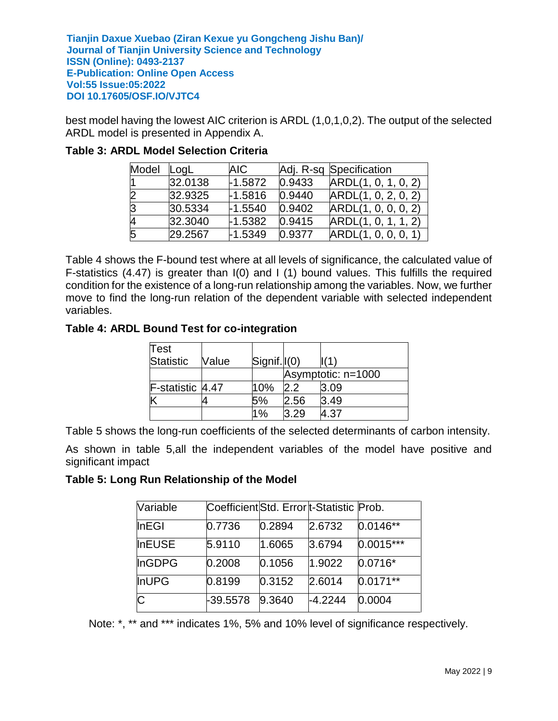best model having the lowest AIC criterion is ARDL (1,0,1,0,2). The output of the selected ARDL model is presented in Appendix A.

| Model | LogL    | AIC.      |        | Adj. R-sq Specification |
|-------|---------|-----------|--------|-------------------------|
|       | 32.0138 | $-1.5872$ | 0.9433 | ARDL(1, 0, 1, 0, 2)     |
| 2     | 32.9325 | $-1.5816$ | 0.9440 | ARDL(1, 0, 2, 0, 2)     |
| IЗ    | 30.5334 | $-1.5540$ | 0.9402 | ARDL(1, 0, 0, 0, 2)     |
| 4     | 32.3040 | $-1.5382$ | 0.9415 | ARDL(1, 0, 1, 1, 2)     |
| 5     | 29.2567 | $-1.5349$ | 0.9377 | ARDL(1, 0, 0, 0, 1)     |

#### **Table 3: ARDL Model Selection Criteria**

Table 4 shows the F-bound test where at all levels of significance, the calculated value of F-statistics (4.47) is greater than I(0) and I (1) bound values. This fulfills the required condition for the existence of a long-run relationship among the variables. Now, we further move to find the long-run relation of the dependent variable with selected independent variables.

#### **Table 4: ARDL Bound Test for co-integration**

| Test             |       |                 |       |                    |
|------------------|-------|-----------------|-------|--------------------|
| <b>Statistic</b> | Value | $Signif.  (0) $ |       |                    |
|                  |       |                 |       | Asymptotic: n=1000 |
| F-statistic 4.47 |       | 10%             | 2.2   | l3.09              |
| Κ                |       | 5%              | 2.56  | 3.49               |
|                  |       | 1%              | l3.29 | 4.37               |

Table 5 shows the long-run coefficients of the selected determinants of carbon intensity.

As shown in table 5,all the independent variables of the model have positive and significant impact

#### **Table 5: Long Run Relationship of the Model**

| Variable      | Coefficient Std. Error t-Statistic Prob. |        |           |             |
|---------------|------------------------------------------|--------|-----------|-------------|
| InEGI         | 0.7736                                   | 0.2894 | 2.6732    | $0.0146**$  |
| <b>InEUSE</b> | 5.9110                                   | 1.6065 | 3.6794    | $0.0015***$ |
| InGDPG        | 0.2008                                   | 0.1056 | 1.9022    | $0.0716*$   |
| <b>InUPG</b>  | 0.8199                                   | 0.3152 | 2.6014    | $0.0171**$  |
| С             | -39.5578                                 | 9.3640 | $-4.2244$ | 0.0004      |

Note: \*, \*\* and \*\*\* indicates 1%, 5% and 10% level of significance respectively.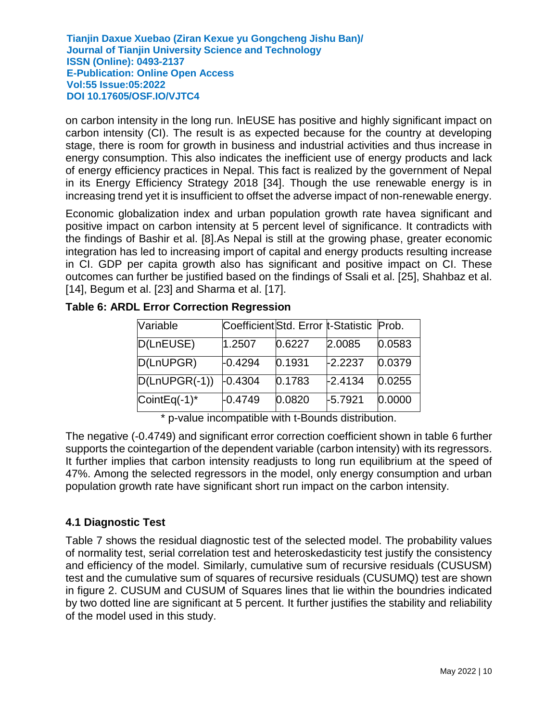on carbon intensity in the long run. lnEUSE has positive and highly significant impact on carbon intensity (CI). The result is as expected because for the country at developing stage, there is room for growth in business and industrial activities and thus increase in energy consumption. This also indicates the inefficient use of energy products and lack of energy efficiency practices in Nepal. This fact is realized by the government of Nepal in its Energy Efficiency Strategy 2018 [34]. Though the use renewable energy is in increasing trend yet it is insufficient to offset the adverse impact of non-renewable energy.

Economic globalization index and urban population growth rate havea significant and positive impact on carbon intensity at 5 percent level of significance. It contradicts with the findings of Bashir et al. [8].As Nepal is still at the growing phase, greater economic integration has led to increasing import of capital and energy products resulting increase in CI. GDP per capita growth also has significant and positive impact on CI. These outcomes can further be justified based on the findings of Ssali et al. [25], Shahbaz et al. [14], Begum et al. [23] and Sharma et al. [17].

| <b>Variable</b> | Coefficient Std. Error  t-Statistic   Prob. |        |           |        |
|-----------------|---------------------------------------------|--------|-----------|--------|
| D(LnEUSE)       | 1.2507                                      | 0.6227 | 2.0085    | 0.0583 |
| D(LnUPGR)       | $-0.4294$                                   | 0.1931 | $-2.2237$ | 0.0379 |
| $D(LnUPGR(-1))$ | $-0.4304$                                   | 0.1783 | $-2.4134$ | 0.0255 |
| CointEq(-1)*    | $-0.4749$                                   | 0.0820 | $-5.7921$ | 0.0000 |

**Table 6: ARDL Error Correction Regression**

\* p-value incompatible with t-Bounds distribution.

The negative (-0.4749) and significant error correction coefficient shown in table 6 further supports the cointegartion of the dependent variable (carbon intensity) with its regressors. It further implies that carbon intensity readjusts to long run equilibrium at the speed of 47%. Among the selected regressors in the model, only energy consumption and urban population growth rate have significant short run impact on the carbon intensity.

# **4.1 Diagnostic Test**

Table 7 shows the residual diagnostic test of the selected model. The probability values of normality test, serial correlation test and heteroskedasticity test justify the consistency and efficiency of the model. Similarly, cumulative sum of recursive residuals (CUSUSM) test and the cumulative sum of squares of recursive residuals (CUSUMQ) test are shown in figure 2. CUSUM and CUSUM of Squares lines that lie within the boundries indicated by two dotted line are significant at 5 percent. It further justifies the stability and reliability of the model used in this study.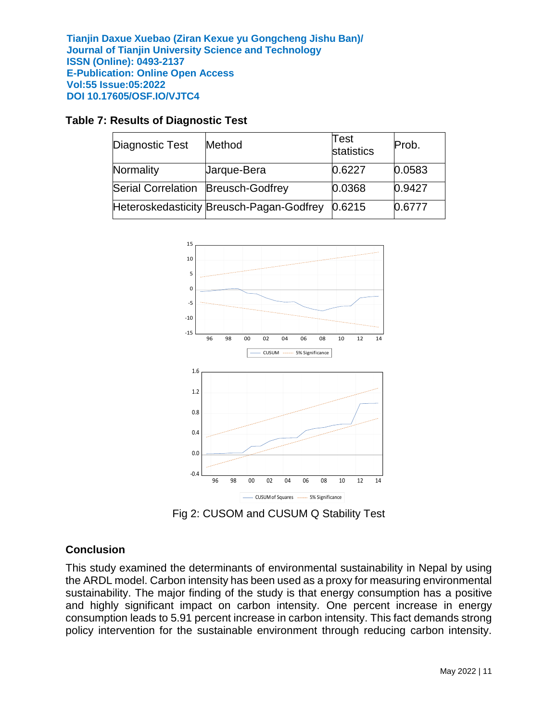#### **Table 7: Results of Diagnostic Test**

| Diagnostic Test                      | Method                                   | $\sf Test$<br>statistics | Prob.  |
|--------------------------------------|------------------------------------------|--------------------------|--------|
| Normality                            | Jarque-Bera                              | 0.6227                   | 0.0583 |
| Serial Correlation   Breusch-Godfrey |                                          | 0.0368                   | 0.9427 |
|                                      | Heteroskedasticity Breusch-Pagan-Godfrey | 0.6215                   | 0.6777 |



Fig 2: CUSOM and CUSUM Q Stability Test

#### **Conclusion**

This study examined the determinants of environmental sustainability in Nepal by using the ARDL model. Carbon intensity has been used as a proxy for measuring environmental sustainability. The major finding of the study is that energy consumption has a positive and highly significant impact on carbon intensity. One percent increase in energy consumption leads to 5.91 percent increase in carbon intensity. This fact demands strong policy intervention for the sustainable environment through reducing carbon intensity.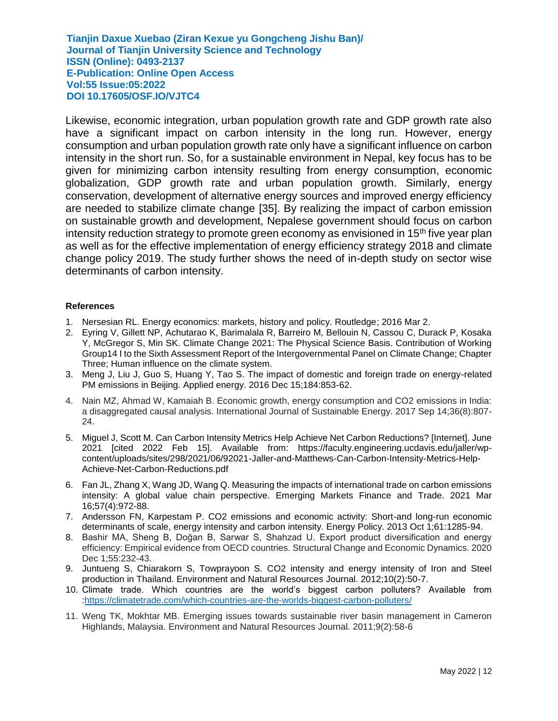Likewise, economic integration, urban population growth rate and GDP growth rate also have a significant impact on carbon intensity in the long run. However, energy consumption and urban population growth rate only have a significant influence on carbon intensity in the short run. So, for a sustainable environment in Nepal, key focus has to be given for minimizing carbon intensity resulting from energy consumption, economic globalization, GDP growth rate and urban population growth. Similarly, energy conservation, development of alternative energy sources and improved energy efficiency are needed to stabilize climate change [35]. By realizing the impact of carbon emission on sustainable growth and development, Nepalese government should focus on carbon intensity reduction strategy to promote green economy as envisioned in 15<sup>th</sup> five year plan as well as for the effective implementation of energy efficiency strategy 2018 and climate change policy 2019. The study further shows the need of in-depth study on sector wise determinants of carbon intensity.

#### **References**

- 1. Nersesian RL. Energy economics: markets, history and policy. Routledge; 2016 Mar 2.
- 2. Eyring V, Gillett NP, Achutarao K, Barimalala R, Barreiro M, Bellouin N, Cassou C, Durack P, Kosaka Y, McGregor S, Min SK. Climate Change 2021: The Physical Science Basis. Contribution of Working Group14 I to the Sixth Assessment Report of the Intergovernmental Panel on Climate Change; Chapter Three; Human influence on the climate system.
- 3. Meng J, Liu J, Guo S, Huang Y, Tao S. The impact of domestic and foreign trade on energy-related PM emissions in Beijing. Applied energy. 2016 Dec 15;184:853-62.
- 4. Nain MZ, Ahmad W, Kamaiah B. Economic growth, energy consumption and CO2 emissions in India: a disaggregated causal analysis. International Journal of Sustainable Energy. 2017 Sep 14;36(8):807- 24.
- 5. Miguel J, Scott M. Can Carbon Intensity Metrics Help Achieve Net Carbon Reductions? [Internet]. June 2021 [cited 2022 Feb 15]. Available from: [https://faculty.engineering.ucdavis.edu/jaller/wp](https://faculty.engineering.ucdavis.edu/jaller/wp-content/uploads/sites/298/2021/06/92021-Jaller-and-Matthews-Can-Carbon-Intensity-Metrics-Help-Achieve-Net-Carbon-Reductions.pdf)[content/uploads/sites/298/2021/06/92021-Jaller-and-Matthews-Can-Carbon-Intensity-Metrics-Help-](https://faculty.engineering.ucdavis.edu/jaller/wp-content/uploads/sites/298/2021/06/92021-Jaller-and-Matthews-Can-Carbon-Intensity-Metrics-Help-Achieve-Net-Carbon-Reductions.pdf)[Achieve-Net-Carbon-Reductions.pdf](https://faculty.engineering.ucdavis.edu/jaller/wp-content/uploads/sites/298/2021/06/92021-Jaller-and-Matthews-Can-Carbon-Intensity-Metrics-Help-Achieve-Net-Carbon-Reductions.pdf)
- 6. Fan JL, Zhang X, Wang JD, Wang Q. Measuring the impacts of international trade on carbon emissions intensity: A global value chain perspective. Emerging Markets Finance and Trade. 2021 Mar 16;57(4):972-88.
- 7. Andersson FN, Karpestam P. CO2 emissions and economic activity: Short-and long-run economic determinants of scale, energy intensity and carbon intensity. Energy Policy. 2013 Oct 1;61:1285-94.
- 8. Bashir MA, Sheng B, Doğan B, Sarwar S, Shahzad U. Export product diversification and energy efficiency: Empirical evidence from OECD countries. Structural Change and Economic Dynamics. 2020 Dec 1;55:232-43.
- 9. Juntueng S, Chiarakorn S, Towprayoon S. CO2 intensity and energy intensity of Iron and Steel production in Thailand. Environment and Natural Resources Journal. 2012;10(2):50-7.
- 10. Climate trade. Which countries are the world's biggest carbon polluters? Available from [:https://climatetrade.com/which-countries-are-the-worlds-biggest-carbon-polluters/](https://climatetrade.com/which-countries-are-the-worlds-biggest-carbon-polluters/)
- 11. Weng TK, Mokhtar MB. Emerging issues towards sustainable river basin management in Cameron Highlands, Malaysia. Environment and Natural Resources Journal. 2011;9(2):58-6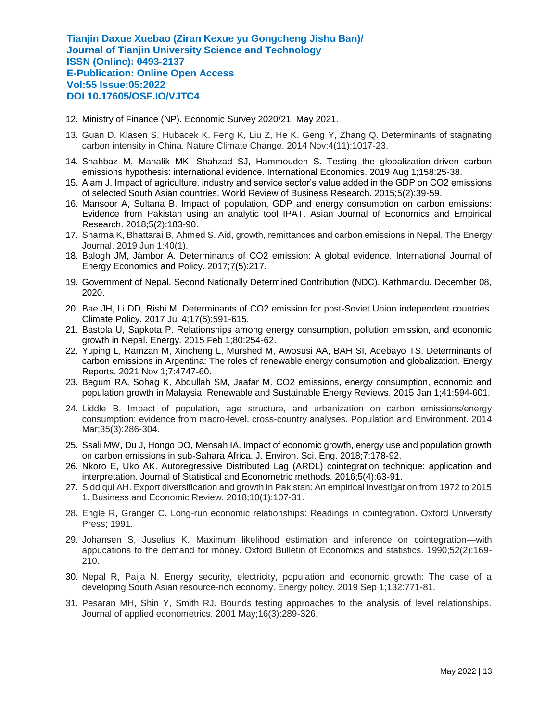- 12. Ministry of Finance (NP). Economic Survey 2020/21. May 2021.
- 13. Guan D, Klasen S, Hubacek K, Feng K, Liu Z, He K, Geng Y, Zhang Q. Determinants of stagnating carbon intensity in China. Nature Climate Change. 2014 Nov;4(11):1017-23.
- 14. Shahbaz M, Mahalik MK, Shahzad SJ, Hammoudeh S. Testing the globalization-driven carbon emissions hypothesis: international evidence. International Economics. 2019 Aug 1;158:25-38.
- 15. Alam J. Impact of agriculture, industry and service sector's value added in the GDP on CO2 emissions of selected South Asian countries. World Review of Business Research. 2015;5(2):39-59.
- 16. Mansoor A, Sultana B. Impact of population, GDP and energy consumption on carbon emissions: Evidence from Pakistan using an analytic tool IPAT. Asian Journal of Economics and Empirical Research. 2018;5(2):183-90.
- 17. Sharma K, Bhattarai B, Ahmed S. Aid, growth, remittances and carbon emissions in Nepal. The Energy Journal. 2019 Jun 1;40(1).
- 18. Balogh JM, Jámbor A. Determinants of CO2 emission: A global evidence. International Journal of Energy Economics and Policy. 2017;7(5):217.
- 19. Government of Nepal. Second Nationally Determined Contribution (NDC). Kathmandu. December 08, 2020.
- 20. Bae JH, Li DD, Rishi M. Determinants of CO2 emission for post-Soviet Union independent countries. Climate Policy. 2017 Jul 4;17(5):591-615.
- 21. Bastola U, Sapkota P. Relationships among energy consumption, pollution emission, and economic growth in Nepal. Energy. 2015 Feb 1;80:254-62.
- 22. Yuping L, Ramzan M, Xincheng L, Murshed M, Awosusi AA, BAH SI, Adebayo TS. Determinants of carbon emissions in Argentina: The roles of renewable energy consumption and globalization. Energy Reports. 2021 Nov 1;7:4747-60.
- 23. Begum RA, Sohag K, Abdullah SM, Jaafar M. CO2 emissions, energy consumption, economic and population growth in Malaysia. Renewable and Sustainable Energy Reviews. 2015 Jan 1;41:594-601.
- 24. Liddle B. Impact of population, age structure, and urbanization on carbon emissions/energy consumption: evidence from macro-level, cross-country analyses. Population and Environment. 2014 Mar;35(3):286-304.
- 25. Ssali MW, Du J, Hongo DO, Mensah IA. Impact of economic growth, energy use and population growth on carbon emissions in sub-Sahara Africa. J. Environ. Sci. Eng. 2018;7:178-92.
- 26. Nkoro E, Uko AK. Autoregressive Distributed Lag (ARDL) cointegration technique: application and interpretation. Journal of Statistical and Econometric methods. 2016;5(4):63-91.
- 27. Siddiqui AH. Export diversification and growth in Pakistan: An empirical investigation from 1972 to 2015 1. Business and Economic Review. 2018;10(1):107-31.
- 28. Engle R, Granger C. Long-run economic relationships: Readings in cointegration. Oxford University Press; 1991.
- 29. Johansen S, Juselius K. Maximum likelihood estimation and inference on cointegration—with appucations to the demand for money. Oxford Bulletin of Economics and statistics. 1990;52(2):169- 210.
- 30. Nepal R, Paija N. Energy security, electricity, population and economic growth: The case of a developing South Asian resource-rich economy. Energy policy. 2019 Sep 1;132:771-81.
- 31. Pesaran MH, Shin Y, Smith RJ. Bounds testing approaches to the analysis of level relationships. Journal of applied econometrics. 2001 May;16(3):289-326.